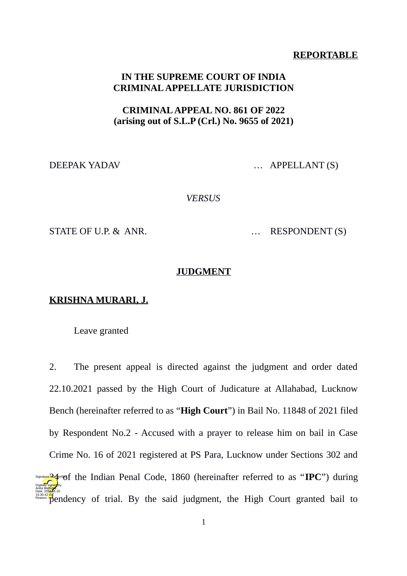#### **REPORTABLE**

### **IN THE SUPREME COURT OF INDIA CRIMINAL APPELLATE JURISDICTION**

## **CRIMINAL APPEAL NO. 861 OF 2022 (arising out of S.L.P (Crl.) No. 9655 of 2021)**

DEEPAK YADAV … APPELLANT (S)

*VERSUS*

STATE OF U.P. & ANR. . . . . . . . RESPONDENT (S)

#### **JUDGMENT**

#### **KRISHNA MURARI, J.**

Leave granted

2. The present appeal is directed against the judgment and order dated 22.10.2021 passed by the High Court of Judicature at Allahabad, Lucknow Bench (hereinafter referred to as "**High Court**") in Bail No. 11848 of 2021 filed by Respondent No.2 - Accused with a prayer to release him on bail in Case Crime No. 16 of 2021 registered at PS Para, Lucknow under Sections 302 and **Signature Requarity of the Indian Penal Code, 1860 (hereinafter referred to as "IPC") during** f<sup>6:30:42</sup> Pendency of trial. By the said judgment, the High Court granted bail to Digitally signed by Anita Mal<mark>hotr</mark>a Date: 2022.05.20 Reason: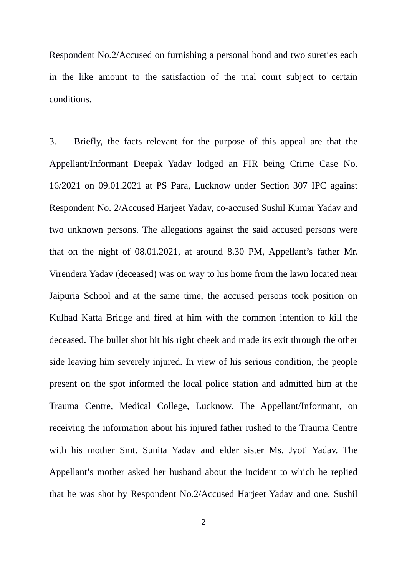Respondent No.2/Accused on furnishing a personal bond and two sureties each in the like amount to the satisfaction of the trial court subject to certain conditions.

3. Briefly, the facts relevant for the purpose of this appeal are that the Appellant/Informant Deepak Yadav lodged an FIR being Crime Case No. 16/2021 on 09.01.2021 at PS Para, Lucknow under Section 307 IPC against Respondent No. 2/Accused Harjeet Yadav, co-accused Sushil Kumar Yadav and two unknown persons. The allegations against the said accused persons were that on the night of 08.01.2021, at around 8.30 PM, Appellant's father Mr. Virendera Yadav (deceased) was on way to his home from the lawn located near Jaipuria School and at the same time, the accused persons took position on Kulhad Katta Bridge and fired at him with the common intention to kill the deceased. The bullet shot hit his right cheek and made its exit through the other side leaving him severely injured. In view of his serious condition, the people present on the spot informed the local police station and admitted him at the Trauma Centre, Medical College, Lucknow. The Appellant/Informant, on receiving the information about his injured father rushed to the Trauma Centre with his mother Smt. Sunita Yadav and elder sister Ms. Jyoti Yadav. The Appellant's mother asked her husband about the incident to which he replied that he was shot by Respondent No.2/Accused Harjeet Yadav and one, Sushil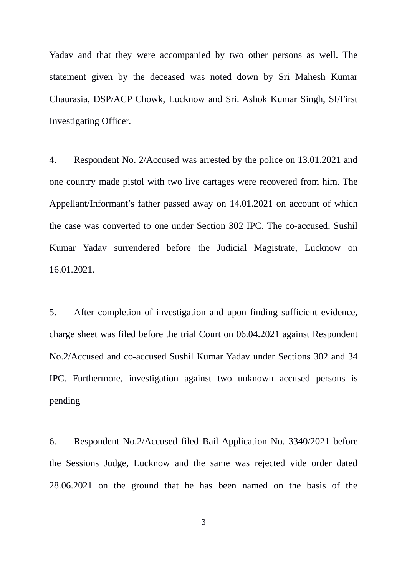Yadav and that they were accompanied by two other persons as well. The statement given by the deceased was noted down by Sri Mahesh Kumar Chaurasia, DSP/ACP Chowk, Lucknow and Sri. Ashok Kumar Singh, SI/First Investigating Officer.

4. Respondent No. 2/Accused was arrested by the police on 13.01.2021 and one country made pistol with two live cartages were recovered from him. The Appellant/Informant's father passed away on 14.01.2021 on account of which the case was converted to one under Section 302 IPC. The co-accused, Sushil Kumar Yadav surrendered before the Judicial Magistrate, Lucknow on 16.01.2021.

5. After completion of investigation and upon finding sufficient evidence, charge sheet was filed before the trial Court on 06.04.2021 against Respondent No.2/Accused and co-accused Sushil Kumar Yadav under Sections 302 and 34 IPC. Furthermore, investigation against two unknown accused persons is pending

6. Respondent No.2/Accused filed Bail Application No. 3340/2021 before the Sessions Judge, Lucknow and the same was rejected vide order dated 28.06.2021 on the ground that he has been named on the basis of the

3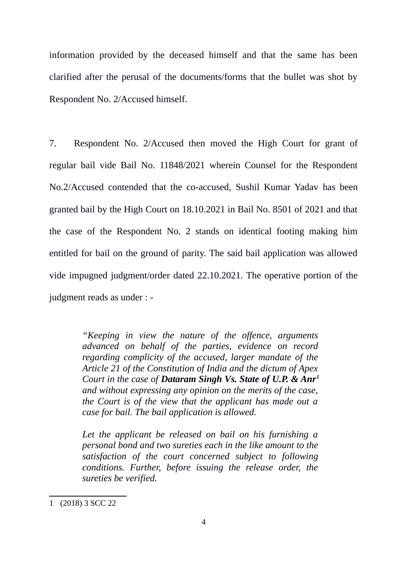information provided by the deceased himself and that the same has been clarified after the perusal of the documents/forms that the bullet was shot by Respondent No. 2/Accused himself.

7. Respondent No. 2/Accused then moved the High Court for grant of regular bail vide Bail No. 11848/2021 wherein Counsel for the Respondent No.2/Accused contended that the co-accused, Sushil Kumar Yadav has been granted bail by the High Court on 18.10.2021 in Bail No. 8501 of 2021 and that the case of the Respondent No. 2 stands on identical footing making him entitled for bail on the ground of parity. The said bail application was allowed vide impugned judgment/order dated 22.10.2021. The operative portion of the judgment reads as under : -

> *"Keeping in view the nature of the offence, arguments advanced on behalf of the parties, evidence on record regarding complicity of the accused, larger mandate of the Article 21 of the Constitution of India and the dictum of Apex Court in the case of Dataram Singh Vs. State of U.P. & Anr[1](#page-3-0) and without expressing any opinion on the merits of the case, the Court is of the view that the applicant has made out a case for bail. The bail application is allowed.*

> *Let the applicant be released on bail on his furnishing a personal bond and two sureties each in the like amount to the satisfaction of the court concerned subject to following conditions. Further, before issuing the release order, the sureties be verified.*

<span id="page-3-0"></span><sup>1</sup> (2018) 3 SCC 22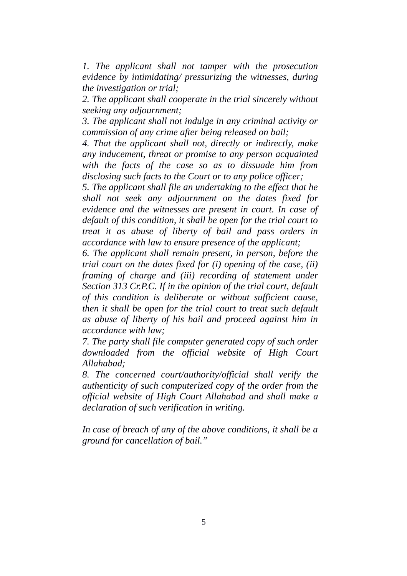*1. The applicant shall not tamper with the prosecution evidence by intimidating/ pressurizing the witnesses, during the investigation or trial;*

*2. The applicant shall cooperate in the trial sincerely without seeking any adjournment;*

*3. The applicant shall not indulge in any criminal activity or commission of any crime after being released on bail;*

*4. That the applicant shall not, directly or indirectly, make any inducement, threat or promise to any person acquainted with the facts of the case so as to dissuade him from disclosing such facts to the Court or to any police officer;*

*5. The applicant shall file an undertaking to the effect that he shall not seek any adjournment on the dates fixed for evidence and the witnesses are present in court. In case of default of this condition, it shall be open for the trial court to treat it as abuse of liberty of bail and pass orders in accordance with law to ensure presence of the applicant;*

*6. The applicant shall remain present, in person, before the trial court on the dates fixed for (i) opening of the case, (ii) framing of charge and (iii) recording of statement under Section 313 Cr.P.C. If in the opinion of the trial court, default of this condition is deliberate or without sufficient cause, then it shall be open for the trial court to treat such default as abuse of liberty of his bail and proceed against him in accordance with law;*

*7. The party shall file computer generated copy of such order downloaded from the official website of High Court Allahabad;*

*8. The concerned court/authority/official shall verify the authenticity of such computerized copy of the order from the official website of High Court Allahabad and shall make a declaration of such verification in writing.*

*In case of breach of any of the above conditions, it shall be a ground for cancellation of bail."*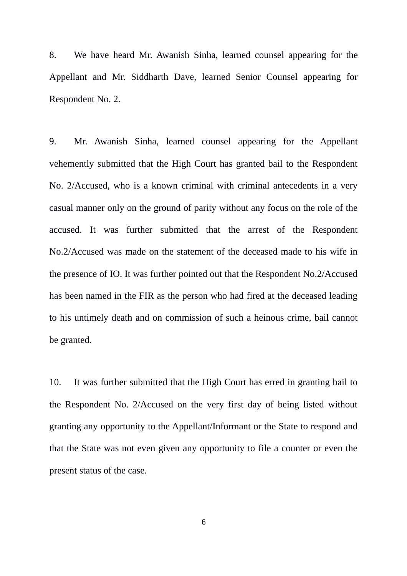8. We have heard Mr. Awanish Sinha, learned counsel appearing for the Appellant and Mr. Siddharth Dave, learned Senior Counsel appearing for Respondent No. 2.

9. Mr. Awanish Sinha, learned counsel appearing for the Appellant vehemently submitted that the High Court has granted bail to the Respondent No. 2/Accused, who is a known criminal with criminal antecedents in a very casual manner only on the ground of parity without any focus on the role of the accused. It was further submitted that the arrest of the Respondent No.2/Accused was made on the statement of the deceased made to his wife in the presence of IO. It was further pointed out that the Respondent No.2/Accused has been named in the FIR as the person who had fired at the deceased leading to his untimely death and on commission of such a heinous crime, bail cannot be granted.

10. It was further submitted that the High Court has erred in granting bail to the Respondent No. 2/Accused on the very first day of being listed without granting any opportunity to the Appellant/Informant or the State to respond and that the State was not even given any opportunity to file a counter or even the present status of the case.

6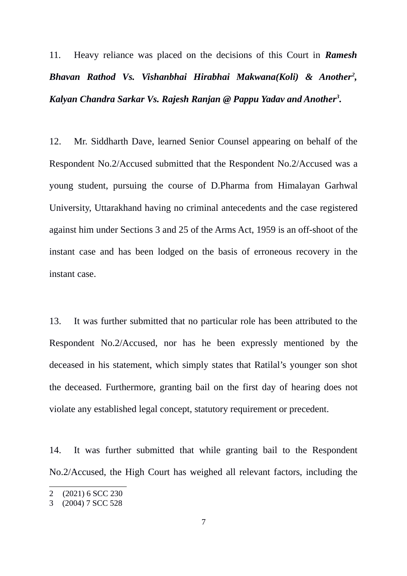11. Heavy reliance was placed on the decisions of this Court in *Ramesh Bhavan Rathod Vs. Vishanbhai Hirabhai Makwana(Koli) & Another[2](#page-6-0) , Kalyan Chandra Sarkar Vs. Rajesh Ranjan @ Pappu Yadav and Another[3](#page-6-1) .*

12. Mr. Siddharth Dave, learned Senior Counsel appearing on behalf of the Respondent No.2/Accused submitted that the Respondent No.2/Accused was a young student, pursuing the course of D.Pharma from Himalayan Garhwal University, Uttarakhand having no criminal antecedents and the case registered against him under Sections 3 and 25 of the Arms Act, 1959 is an off-shoot of the instant case and has been lodged on the basis of erroneous recovery in the instant case.

13. It was further submitted that no particular role has been attributed to the Respondent No.2/Accused, nor has he been expressly mentioned by the deceased in his statement, which simply states that Ratilal's younger son shot the deceased. Furthermore, granting bail on the first day of hearing does not violate any established legal concept, statutory requirement or precedent.

14. It was further submitted that while granting bail to the Respondent No.2/Accused, the High Court has weighed all relevant factors, including the

<span id="page-6-0"></span><sup>2</sup> (2021) 6 SCC 230

<span id="page-6-1"></span><sup>3</sup> (2004) 7 SCC 528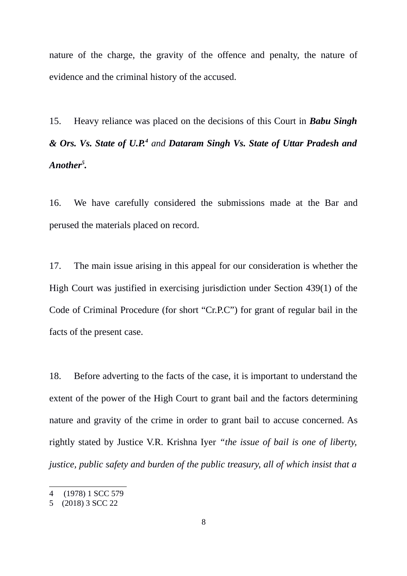nature of the charge, the gravity of the offence and penalty, the nature of evidence and the criminal history of the accused.

15. Heavy reliance was placed on the decisions of this Court in *Babu Singh & Ors. Vs. State of U.P.[4](#page-7-0) and Dataram Singh Vs. State of Uttar Pradesh and Another[5](#page-7-1) .*

16. We have carefully considered the submissions made at the Bar and perused the materials placed on record.

17. The main issue arising in this appeal for our consideration is whether the High Court was justified in exercising jurisdiction under Section 439(1) of the Code of Criminal Procedure (for short "Cr.P.C") for grant of regular bail in the facts of the present case.

18. Before adverting to the facts of the case, it is important to understand the extent of the power of the High Court to grant bail and the factors determining nature and gravity of the crime in order to grant bail to accuse concerned. As rightly stated by Justice V.R. Krishna Iyer *"the issue of bail is one of liberty, justice, public safety and burden of the public treasury, all of which insist that a*

<span id="page-7-0"></span><sup>4</sup> (1978) 1 SCC 579

<span id="page-7-1"></span><sup>5</sup> (2018) 3 SCC 22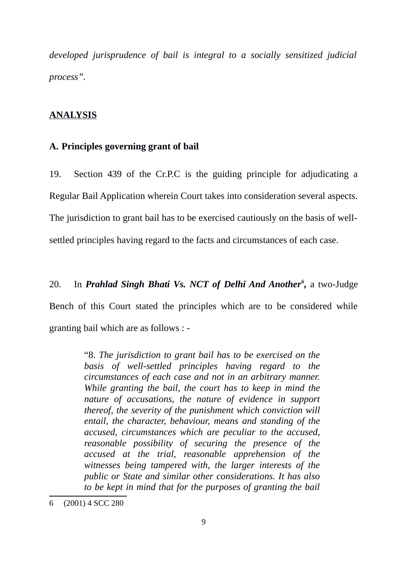*developed jurisprudence of bail is integral to a socially sensitized judicial process".*

#### **ANALYSIS**

#### **A. Principles governing grant of bail**

19. Section 439 of the Cr.P.C is the guiding principle for adjudicating a Regular Bail Application wherein Court takes into consideration several aspects. The jurisdiction to grant bail has to be exercised cautiously on the basis of wellsettled principles having regard to the facts and circumstances of each case.

20. In *Prahlad Singh Bhati Vs. NCT of Delhi And Another<sup>[6](#page-8-0)</sup>, a two-Judge* Bench of this Court stated the principles which are to be considered while granting bail which are as follows : -

> "8. *The jurisdiction to grant bail has to be exercised on the basis of well-settled principles having regard to the circumstances of each case and not in an arbitrary manner. While granting the bail, the court has to keep in mind the nature of accusations, the nature of evidence in support thereof, the severity of the punishment which conviction will entail, the character, behaviour, means and standing of the accused, circumstances which are peculiar to the accused, reasonable possibility of securing the presence of the accused at the trial, reasonable apprehension of the witnesses being tampered with, the larger interests of the public or State and similar other considerations. It has also to be kept in mind that for the purposes of granting the bail*

<span id="page-8-0"></span><sup>6</sup> (2001) 4 SCC 280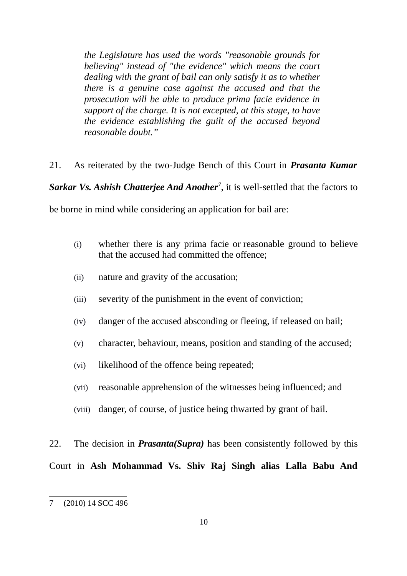*the Legislature has used the words "reasonable grounds for believing" instead of "the evidence" which means the court dealing with the grant of bail can only satisfy it as to whether there is a genuine case against the accused and that the prosecution will be able to produce prima facie evidence in support of the charge. It is not excepted, at this stage, to have the evidence establishing the guilt of the accused beyond reasonable doubt."*

21. As reiterated by the two-Judge Bench of this Court in *Prasanta Kumar*

*Sarkar Vs. Ashish Chatterjee And Another[7](#page-9-0)* , it is well-settled that the factors to

be borne in mind while considering an application for bail are:

- (i) whether there is any prima facie or reasonable ground to believe that the accused had committed the offence;
- (ii) nature and gravity of the accusation;
- (iii) severity of the punishment in the event of conviction;
- (iv) danger of the accused absconding or fleeing, if released on bail;
- (v) character, behaviour, means, position and standing of the accused;
- (vi) likelihood of the offence being repeated;
- (vii) reasonable apprehension of the witnesses being influenced; and
- (viii) danger, of course, of justice being thwarted by grant of bail.

22. The decision in *Prasanta(Supra)* has been consistently followed by this

Court in **Ash Mohammad Vs. Shiv Raj Singh alias Lalla Babu And**

<span id="page-9-0"></span><sup>7</sup> (2010) 14 SCC 496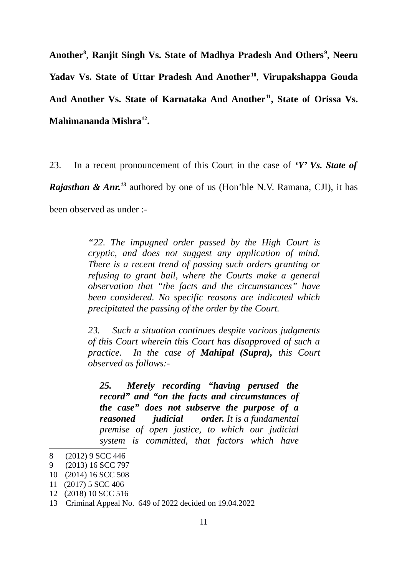**Another[8](#page-10-0)** , **Ranjit Singh Vs. State of Madhya Pradesh And Others[9](#page-10-1)** , **Neeru Yadav Vs. State of Uttar Pradesh And Another[10](#page-10-2)** , **Virupakshappa Gouda And Another Vs. State of Karnataka And Another[11](#page-10-3), State of Orissa Vs. Mahimananda Mishra[12](#page-10-4) .**

23. In a recent pronouncement of this Court in the case of *'Y' Vs. State of*

*Rajasthan & Anr.[13](#page-10-5)* authored by one of us (Hon'ble N.V. Ramana, CJI), it has

been observed as under :-

*"22. The impugned order passed by the High Court is cryptic, and does not suggest any application of mind. There is a recent trend of passing such orders granting or refusing to grant bail, where the Courts make a general observation that "the facts and the circumstances" have been considered. No specific reasons are indicated which precipitated the passing of the order by the Court.*

*23. Such a situation continues despite various judgments of this Court wherein this Court has disapproved of such a practice. In the case of Mahipal (Supra), this Court observed as follows:-*

*25. Merely recording "having perused the record" and "on the facts and circumstances of the case" does not subserve the purpose of a reasoned judicial order. It is a fundamental premise of open justice, to which our judicial system is committed, that factors which have*

<span id="page-10-0"></span><sup>8</sup> (2012) 9 SCC 446

<span id="page-10-1"></span><sup>9</sup> (2013) 16 SCC 797

<span id="page-10-2"></span><sup>10</sup> (2014) 16 SCC 508

<span id="page-10-3"></span><sup>11</sup> (2017) 5 SCC 406

<span id="page-10-4"></span><sup>12</sup> (2018) 10 SCC 516

<span id="page-10-5"></span><sup>13</sup> Criminal Appeal No. 649 of 2022 decided on 19.04.2022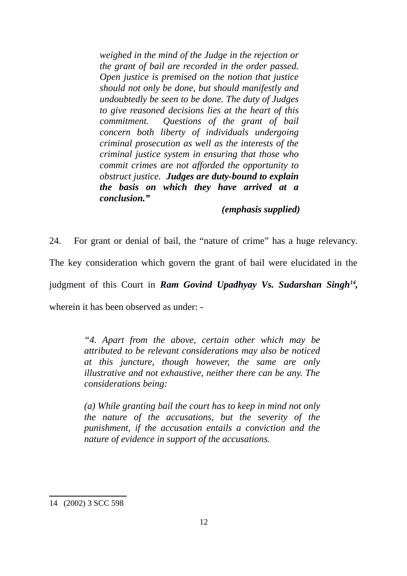*weighed in the mind of the Judge in the rejection or the grant of bail are recorded in the order passed. Open justice is premised on the notion that justice should not only be done, but should manifestly and undoubtedly be seen to be done. The duty of Judges to give reasoned decisions lies at the heart of this commitment. Questions of the grant of bail concern both liberty of individuals undergoing criminal prosecution as well as the interests of the criminal justice system in ensuring that those who commit crimes are not afforded the opportunity to obstruct justice. Judges are duty-bound to explain the basis on which they have arrived at a conclusion."*

#### *(emphasis supplied)*

24. For grant or denial of bail, the "nature of crime" has a huge relevancy. The key consideration which govern the grant of bail were elucidated in the judgment of this Court in *Ram Govind Upadhyay Vs. Sudarshan Singh[14](#page-11-0) ,* wherein it has been observed as under: -

> *"4. Apart from the above, certain other which may be attributed to be relevant considerations may also be noticed at this juncture, though however, the same are only illustrative and not exhaustive, neither there can be any. The considerations being:*

> *(a) While granting bail the court has to keep in mind not only the nature of the accusations, but the severity of the punishment, if the accusation entails a conviction and the nature of evidence in support of the accusations.*

<span id="page-11-0"></span><sup>14 (2002) 3</sup> SCC 598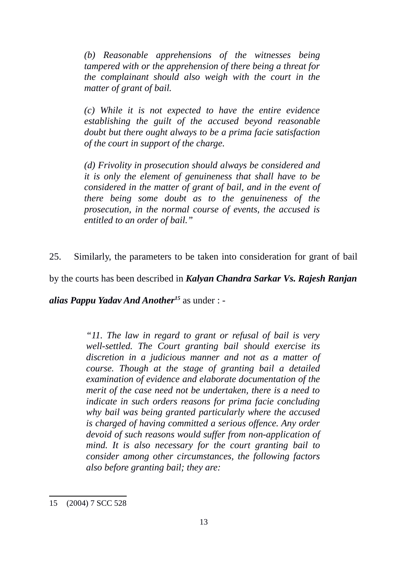*(b) Reasonable apprehensions of the witnesses being tampered with or the apprehension of there being a threat for the complainant should also weigh with the court in the matter of grant of bail.* 

*(c) While it is not expected to have the entire evidence establishing the guilt of the accused beyond reasonable doubt but there ought always to be a prima facie satisfaction of the court in support of the charge.*

*(d) Frivolity in prosecution should always be considered and it is only the element of genuineness that shall have to be considered in the matter of grant of bail, and in the event of there being some doubt as to the genuineness of the prosecution, in the normal course of events, the accused is entitled to an order of bail."*

25. Similarly, the parameters to be taken into consideration for grant of bail

by the courts has been described in *Kalyan Chandra Sarkar Vs. Rajesh Ranjan*

*alias Pappu Yadav And Another[15](#page-12-0)* as under : -

*"11. The law in regard to grant or refusal of bail is very well-settled. The Court granting bail should exercise its discretion in a judicious manner and not as a matter of course. Though at the stage of granting bail a detailed examination of evidence and elaborate documentation of the merit of the case need not be undertaken, there is a need to indicate in such orders reasons for prima facie concluding why bail was being granted particularly where the accused is charged of having committed a serious offence. Any order devoid of such reasons would suffer from non-application of mind. It is also necessary for the court granting bail to consider among other circumstances, the following factors also before granting bail; they are:* 

<span id="page-12-0"></span><sup>15</sup> (2004) 7 SCC 528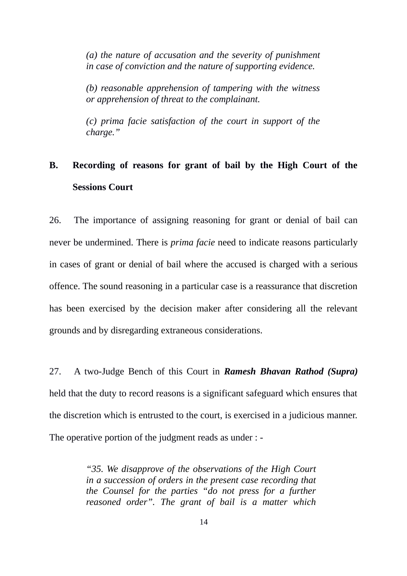*(a) the nature of accusation and the severity of punishment in case of conviction and the nature of supporting evidence.* 

*(b) reasonable apprehension of tampering with the witness or apprehension of threat to the complainant.*

*(c) prima facie satisfaction of the court in support of the charge."*

# **B. Recording of reasons for grant of bail by the High Court of the Sessions Court**

26. The importance of assigning reasoning for grant or denial of bail can never be undermined. There is *prima facie* need to indicate reasons particularly in cases of grant or denial of bail where the accused is charged with a serious offence. The sound reasoning in a particular case is a reassurance that discretion has been exercised by the decision maker after considering all the relevant grounds and by disregarding extraneous considerations.

27. A two-Judge Bench of this Court in *Ramesh Bhavan Rathod (Supra)* held that the duty to record reasons is a significant safeguard which ensures that the discretion which is entrusted to the court, is exercised in a judicious manner. The operative portion of the judgment reads as under : -

> *"35. We disapprove of the observations of the High Court in a succession of orders in the present case recording that the Counsel for the parties "do not press for a further reasoned order". The grant of bail is a matter which*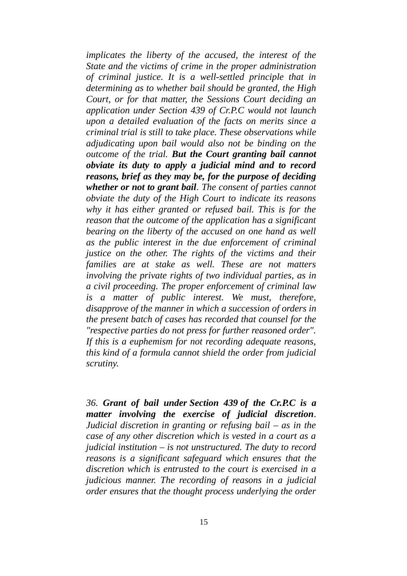*implicates the liberty of the accused, the interest of the State and the victims of crime in the proper administration of criminal justice. It is a well-settled principle that in determining as to whether bail should be granted, the High Court, or for that matter, the Sessions Court deciding an application under Section 439 of Cr.P.C would not launch upon a detailed evaluation of the facts on merits since a criminal trial is still to take place. These observations while adjudicating upon bail would also not be binding on the outcome of the trial. But the Court granting bail cannot obviate its duty to apply a judicial mind and to record reasons, brief as they may be, for the purpose of deciding whether or not to grant bail. The consent of parties cannot obviate the duty of the High Court to indicate its reasons why it has either granted or refused bail. This is for the reason that the outcome of the application has a significant bearing on the liberty of the accused on one hand as well as the public interest in the due enforcement of criminal justice on the other. The rights of the victims and their families are at stake as well. These are not matters involving the private rights of two individual parties, as in a civil proceeding. The proper enforcement of criminal law is a matter of public interest. We must, therefore, disapprove of the manner in which a succession of orders in the present batch of cases has recorded that counsel for the "respective parties do not press for further reasoned order". If this is a euphemism for not recording adequate reasons, this kind of a formula cannot shield the order from judicial scrutiny.*

*36. Grant of bail under [Section 439](https://indiankanoon.org/doc/1290514/) of the Cr.P.C is a matter involving the exercise of judicial discretion. Judicial discretion in granting or refusing bail – as in the case of any other discretion which is vested in a court as a judicial institution – is not unstructured. The duty to record reasons is a significant safeguard which ensures that the discretion which is entrusted to the court is exercised in a judicious manner. The recording of reasons in a judicial order ensures that the thought process underlying the order*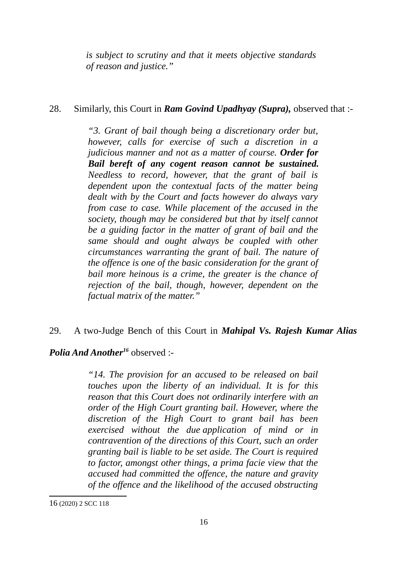*is subject to scrutiny and that it meets objective standards of reason and justice."*

## 28. Similarly, this Court in *Ram Govind Upadhyay (Supra),* observed that :-

*"3. Grant of bail though being a discretionary order but, however, calls for exercise of such a discretion in a judicious manner and not as a matter of course. Order for Bail bereft of any cogent reason cannot be sustained. Needless to record, however, that the grant of bail is dependent upon the contextual facts of the matter being dealt with by the Court and facts however do always vary from case to case. While placement of the accused in the society, though may be considered but that by itself cannot be a guiding factor in the matter of grant of bail and the same should and ought always be coupled with other circumstances warranting the grant of bail. The nature of the offence is one of the basic consideration for the grant of bail more heinous is a crime, the greater is the chance of rejection of the bail, though, however, dependent on the factual matrix of the matter."*

# 29. A two-Judge Bench of this Court in *Mahipal Vs. Rajesh Kumar Alias*

# *Polia And Another[16](#page-15-0)* observed :-

*"14. The provision for an accused to be released on bail touches upon the liberty of an individual. It is for this reason that this Court does not ordinarily interfere with an order of the High Court granting bail. However, where the discretion of the High Court to grant bail has been exercised without the due application of mind or in contravention of the directions of this Court, such an order granting bail is liable to be set aside. The Court is required to factor, amongst other things, a prima facie view that the accused had committed the offence, the nature and gravity of the offence and the likelihood of the accused obstructing*

<span id="page-15-0"></span><sup>16</sup> (2020) 2 SCC 118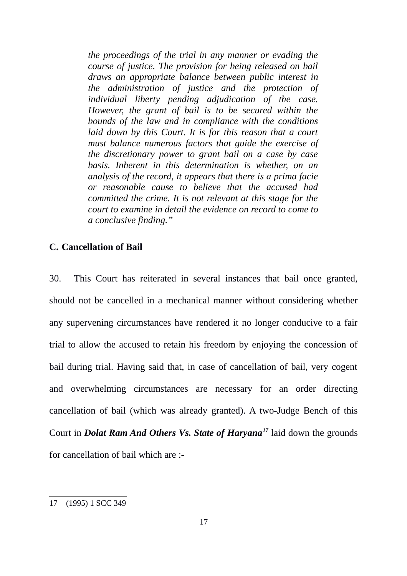*the proceedings of the trial in any manner or evading the course of justice. The provision for being released on bail draws an appropriate balance between public interest in the administration of justice and the protection of individual liberty pending adjudication of the case. However, the grant of bail is to be secured within the bounds of the law and in compliance with the conditions laid down by this Court. It is for this reason that a court must balance numerous factors that guide the exercise of the discretionary power to grant bail on a case by case basis. Inherent in this determination is whether, on an analysis of the record, it appears that there is a prima facie or reasonable cause to believe that the accused had committed the crime. It is not relevant at this stage for the court to examine in detail the evidence on record to come to a conclusive finding."*

### **C. Cancellation of Bail**

30. This Court has reiterated in several instances that bail once granted, should not be cancelled in a mechanical manner without considering whether any supervening circumstances have rendered it no longer conducive to a fair trial to allow the accused to retain his freedom by enjoying the concession of bail during trial. Having said that, in case of cancellation of bail, very cogent and overwhelming circumstances are necessary for an order directing cancellation of bail (which was already granted). A two-Judge Bench of this Court in *Dolat Ram And Others Vs. State of Haryana[17](#page-16-0)* laid down the grounds for cancellation of bail which are :-

<span id="page-16-0"></span><sup>17</sup> (1995) 1 SCC 349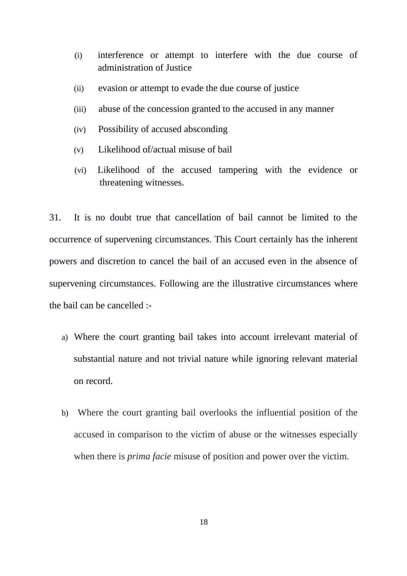- (i) interference or attempt to interfere with the due course of administration of Justice
- (ii) evasion or attempt to evade the due course of justice
- (iii) abuse of the concession granted to the accused in any manner
- (iv) Possibility of accused absconding
- (v) Likelihood of/actual misuse of bail
- (vi) Likelihood of the accused tampering with the evidence or threatening witnesses.

31. It is no doubt true that cancellation of bail cannot be limited to the occurrence of supervening circumstances. This Court certainly has the inherent powers and discretion to cancel the bail of an accused even in the absence of supervening circumstances. Following are the illustrative circumstances where the bail can be cancelled :-

- a) Where the court granting bail takes into account irrelevant material of substantial nature and not trivial nature while ignoring relevant material on record.
- b) Where the court granting bail overlooks the influential position of the accused in comparison to the victim of abuse or the witnesses especially when there is *prima facie* misuse of position and power over the victim.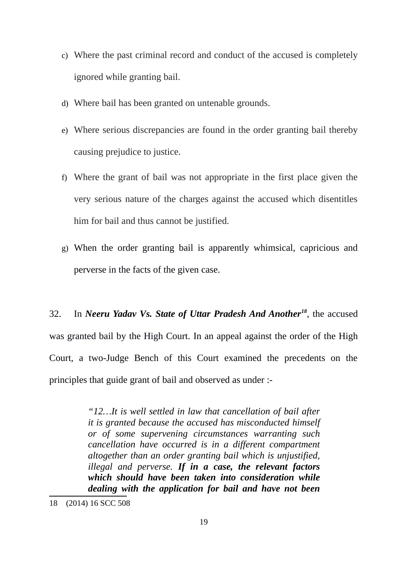- c) Where the past criminal record and conduct of the accused is completely ignored while granting bail.
- d) Where bail has been granted on untenable grounds.
- e) Where serious discrepancies are found in the order granting bail thereby causing prejudice to justice.
- f) Where the grant of bail was not appropriate in the first place given the very serious nature of the charges against the accused which disentitles him for bail and thus cannot be justified.
- g) When the order granting bail is apparently whimsical, capricious and perverse in the facts of the given case.

32. In *Neeru Yadav Vs. State of Uttar Pradesh And Another[18](#page-18-0)*, the accused was granted bail by the High Court. In an appeal against the order of the High Court, a two-Judge Bench of this Court examined the precedents on the principles that guide grant of bail and observed as under :-

> *"12…It is well settled in law that cancellation of bail after it is granted because the accused has misconducted himself or of some supervening circumstances warranting such cancellation have occurred is in a different compartment altogether than an order granting bail which is unjustified, illegal and perverse. If in a case, the relevant factors which should have been taken into consideration while dealing with the application for bail and have not been*

<span id="page-18-0"></span><sup>18</sup> (2014) 16 SCC 508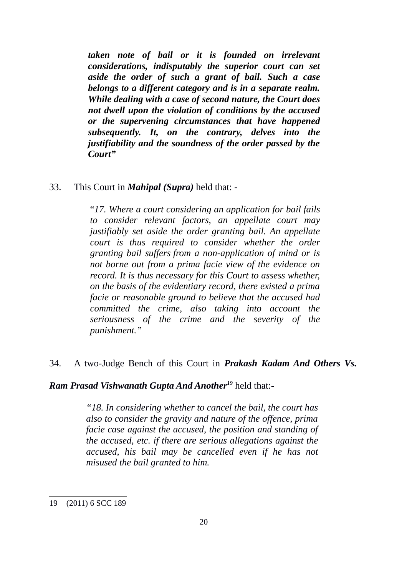*taken note of bail or it is founded on irrelevant considerations, indisputably the superior court can set aside the order of such a grant of bail. Such a case belongs to a different category and is in a separate realm. While dealing with a case of second nature, the Court does not dwell upon the violation of conditions by the accused or the supervening circumstances that have happened subsequently. It, on the contrary, delves into the justifiability and the soundness of the order passed by the Court"*

33. This Court in *Mahipal (Supra)* held that: -

"*17. Where a court considering an application for bail fails to consider relevant factors, an appellate court may justifiably set aside the order granting bail. An appellate court is thus required to consider whether the order granting bail suffers from a non-application of mind or is not borne out from a prima facie view of the evidence on record. It is thus necessary for this Court to assess whether, on the basis of the evidentiary record, there existed a prima facie or reasonable ground to believe that the accused had committed the crime, also taking into account the seriousness of the crime and the severity of the punishment."*

34. A two-Judge Bench of this Court in *Prakash Kadam And Others Vs.*

## *Ram Prasad Vishwanath Gupta And Another[19](#page-19-0)* held that:-

*"18. In considering whether to cancel the bail, the court has also to consider the gravity and nature of the offence, prima facie case against the accused, the position and standing of the accused, etc. if there are serious allegations against the accused, his bail may be cancelled even if he has not misused the bail granted to him.*

<span id="page-19-0"></span><sup>19</sup> (2011) 6 SCC 189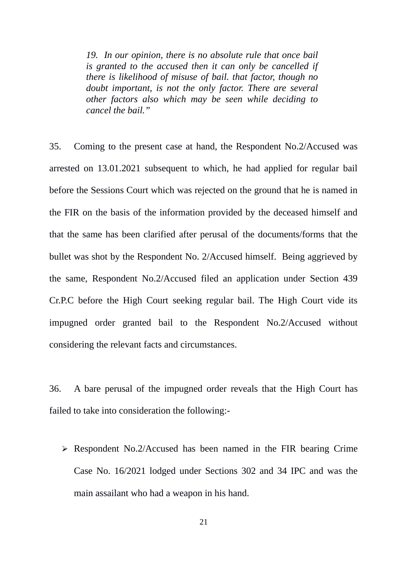*19. In our opinion, there is no absolute rule that once bail is granted to the accused then it can only be cancelled if there is likelihood of misuse of bail. that factor, though no doubt important, is not the only factor. There are several other factors also which may be seen while deciding to cancel the bail."*

35. Coming to the present case at hand, the Respondent No.2/Accused was arrested on 13.01.2021 subsequent to which, he had applied for regular bail before the Sessions Court which was rejected on the ground that he is named in the FIR on the basis of the information provided by the deceased himself and that the same has been clarified after perusal of the documents/forms that the bullet was shot by the Respondent No. 2/Accused himself. Being aggrieved by the same, Respondent No.2/Accused filed an application under Section 439 Cr.P.C before the High Court seeking regular bail. The High Court vide its impugned order granted bail to the Respondent No.2/Accused without considering the relevant facts and circumstances.

36. A bare perusal of the impugned order reveals that the High Court has failed to take into consideration the following:-

 $\triangleright$  Respondent No.2/Accused has been named in the FIR bearing Crime Case No. 16/2021 lodged under Sections 302 and 34 IPC and was the main assailant who had a weapon in his hand.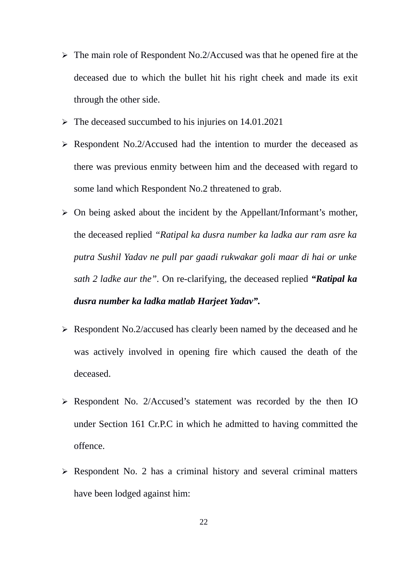- $\triangleright$  The main role of Respondent No.2/Accused was that he opened fire at the deceased due to which the bullet hit his right cheek and made its exit through the other side.
- $\triangleright$  The deceased succumbed to his injuries on 14.01.2021
- Respondent No.2/Accused had the intention to murder the deceased as there was previous enmity between him and the deceased with regard to some land which Respondent No.2 threatened to grab.
- $\triangleright$  On being asked about the incident by the Appellant/Informant's mother, the deceased replied *"Ratipal ka dusra number ka ladka aur ram asre ka putra Sushil Yadav ne pull par gaadi rukwakar goli maar di hai or unke sath 2 ladke aur the".* On re-clarifying, the deceased replied *"Ratipal ka dusra number ka ladka matlab Harjeet Yadav".*
- $\triangleright$  Respondent No.2/accused has clearly been named by the deceased and he was actively involved in opening fire which caused the death of the deceased.
- Respondent No. 2/Accused's statement was recorded by the then IO under Section 161 Cr.P.C in which he admitted to having committed the offence.
- $\triangleright$  Respondent No. 2 has a criminal history and several criminal matters have been lodged against him: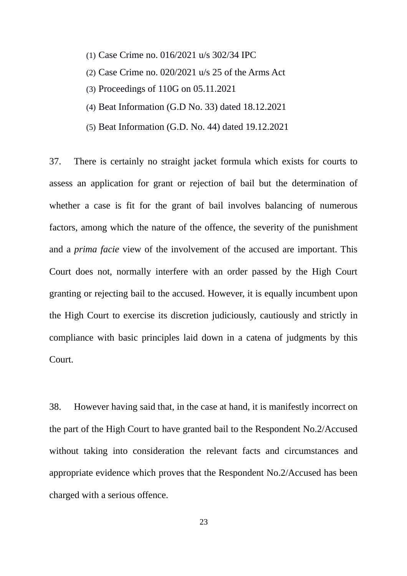- (1) Case Crime no. 016/2021 u/s 302/34 IPC
- (2) Case Crime no. 020/2021 u/s 25 of the Arms Act
- (3) Proceedings of 110G on 05.11.2021
- (4) Beat Information (G.D No. 33) dated 18.12.2021
- (5) Beat Information (G.D. No. 44) dated 19.12.2021

37. There is certainly no straight jacket formula which exists for courts to assess an application for grant or rejection of bail but the determination of whether a case is fit for the grant of bail involves balancing of numerous factors, among which the nature of the offence, the severity of the punishment and a *prima facie* view of the involvement of the accused are important. This Court does not, normally interfere with an order passed by the High Court granting or rejecting bail to the accused. However, it is equally incumbent upon the High Court to exercise its discretion judiciously, cautiously and strictly in compliance with basic principles laid down in a catena of judgments by this Court.

38. However having said that, in the case at hand, it is manifestly incorrect on the part of the High Court to have granted bail to the Respondent No.2/Accused without taking into consideration the relevant facts and circumstances and appropriate evidence which proves that the Respondent No.2/Accused has been charged with a serious offence.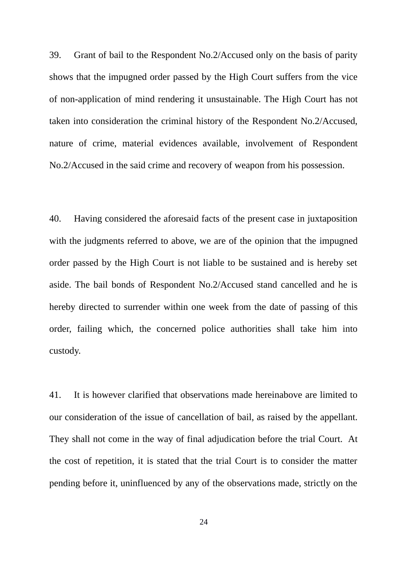39. Grant of bail to the Respondent No.2/Accused only on the basis of parity shows that the impugned order passed by the High Court suffers from the vice of non-application of mind rendering it unsustainable. The High Court has not taken into consideration the criminal history of the Respondent No.2/Accused, nature of crime, material evidences available, involvement of Respondent No.2/Accused in the said crime and recovery of weapon from his possession.

40. Having considered the aforesaid facts of the present case in juxtaposition with the judgments referred to above, we are of the opinion that the impugned order passed by the High Court is not liable to be sustained and is hereby set aside. The bail bonds of Respondent No.2/Accused stand cancelled and he is hereby directed to surrender within one week from the date of passing of this order, failing which, the concerned police authorities shall take him into custody.

41. It is however clarified that observations made hereinabove are limited to our consideration of the issue of cancellation of bail, as raised by the appellant. They shall not come in the way of final adjudication before the trial Court. At the cost of repetition, it is stated that the trial Court is to consider the matter pending before it, uninfluenced by any of the observations made, strictly on the